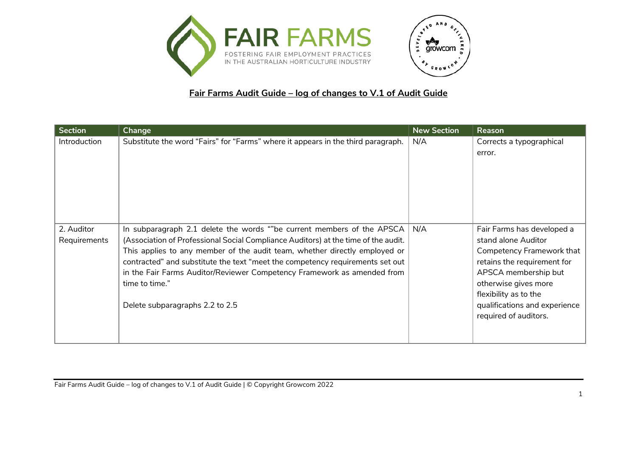



## **Fair Farms Audit Guide – log of changes to V.1 of Audit Guide**

| <b>Section</b>             | Change                                                                                                                                                                                                                                                                                                                                                                                                                                                              | <b>New Section</b> | Reason                                                                                                                                                                                                                                           |
|----------------------------|---------------------------------------------------------------------------------------------------------------------------------------------------------------------------------------------------------------------------------------------------------------------------------------------------------------------------------------------------------------------------------------------------------------------------------------------------------------------|--------------------|--------------------------------------------------------------------------------------------------------------------------------------------------------------------------------------------------------------------------------------------------|
| Introduction               | Substitute the word "Fairs" for "Farms" where it appears in the third paragraph.                                                                                                                                                                                                                                                                                                                                                                                    | N/A                | Corrects a typographical<br>error.                                                                                                                                                                                                               |
| 2. Auditor<br>Requirements | In subparagraph 2.1 delete the words ""be current members of the APSCA $\vert$<br>(Association of Professional Social Compliance Auditors) at the time of the audit.<br>This applies to any member of the audit team, whether directly employed or<br>contracted" and substitute the text "meet the competency requirements set out<br>in the Fair Farms Auditor/Reviewer Competency Framework as amended from<br>time to time."<br>Delete subparagraphs 2.2 to 2.5 | N/A                | Fair Farms has developed a<br>stand alone Auditor<br>Competency Framework that<br>retains the requirement for<br>APSCA membership but<br>otherwise gives more<br>flexibility as to the<br>qualifications and experience<br>required of auditors. |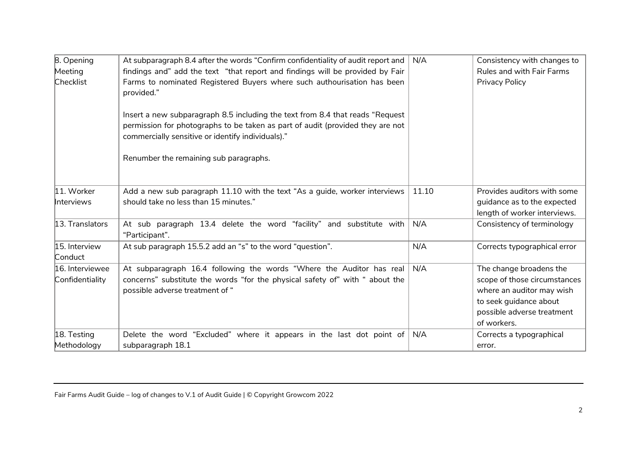| 8. Opening                         | At subparagraph 8.4 after the words "Confirm confidentiality of audit report and                                                                                                                                      | N/A   | Consistency with changes to                                                                                                                                 |
|------------------------------------|-----------------------------------------------------------------------------------------------------------------------------------------------------------------------------------------------------------------------|-------|-------------------------------------------------------------------------------------------------------------------------------------------------------------|
| Meeting                            | findings and" add the text "that report and findings will be provided by Fair                                                                                                                                         |       | Rules and with Fair Farms                                                                                                                                   |
| Checklist                          | Farms to nominated Registered Buyers where such authourisation has been<br>provided."                                                                                                                                 |       | Privacy Policy                                                                                                                                              |
|                                    | Insert a new subparagraph 8.5 including the text from 8.4 that reads "Request"<br>permission for photographs to be taken as part of audit (provided they are not<br>commercially sensitive or identify individuals)." |       |                                                                                                                                                             |
|                                    | Renumber the remaining sub paragraphs.                                                                                                                                                                                |       |                                                                                                                                                             |
| 11. Worker<br><b>Interviews</b>    | Add a new sub paragraph 11.10 with the text "As a guide, worker interviews<br>should take no less than 15 minutes."                                                                                                   | 11.10 | Provides auditors with some<br>guidance as to the expected<br>length of worker interviews.                                                                  |
| 13. Translators                    | At sub paragraph 13.4 delete the word "facility" and substitute with<br>"Participant".                                                                                                                                | N/A   | Consistency of terminology                                                                                                                                  |
| 15. Interview<br>Conduct           | At sub paragraph 15.5.2 add an "s" to the word "question".                                                                                                                                                            | N/A   | Corrects typographical error                                                                                                                                |
| 16. Interviewee<br>Confidentiality | At subparagraph 16.4 following the words "Where the Auditor has real<br>concerns" substitute the words "for the physical safety of" with " about the<br>possible adverse treatment of "                               | N/A   | The change broadens the<br>scope of those circumstances<br>where an auditor may wish<br>to seek guidance about<br>possible adverse treatment<br>of workers. |
| 18. Testing                        | Delete the word "Excluded" where it appears in the last dot point of                                                                                                                                                  | N/A   | Corrects a typographical                                                                                                                                    |
| Methodology                        | subparagraph 18.1                                                                                                                                                                                                     |       | error.                                                                                                                                                      |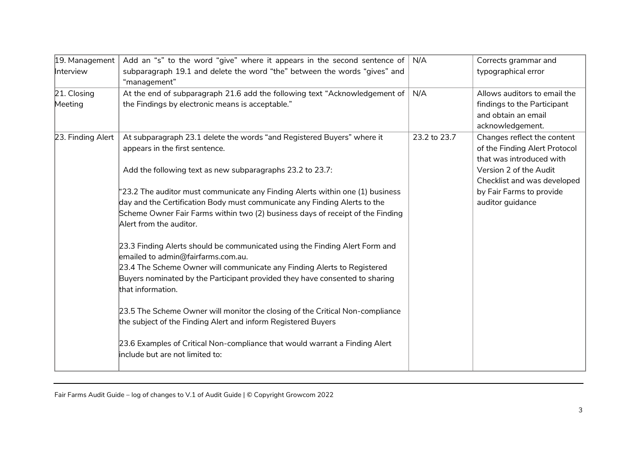| 19. Management         | Add an "s" to the word "give" where it appears in the second sentence of                                                                                                                                                                                                                                                                                                                                                                                                                                                                                                                                                                                                                                                                                                                                                                                                                                                                                                                                                 | N/A          | Corrects grammar and                                                                                                                                                                              |
|------------------------|--------------------------------------------------------------------------------------------------------------------------------------------------------------------------------------------------------------------------------------------------------------------------------------------------------------------------------------------------------------------------------------------------------------------------------------------------------------------------------------------------------------------------------------------------------------------------------------------------------------------------------------------------------------------------------------------------------------------------------------------------------------------------------------------------------------------------------------------------------------------------------------------------------------------------------------------------------------------------------------------------------------------------|--------------|---------------------------------------------------------------------------------------------------------------------------------------------------------------------------------------------------|
| Interview              | subparagraph 19.1 and delete the word "the" between the words "gives" and<br>"management"                                                                                                                                                                                                                                                                                                                                                                                                                                                                                                                                                                                                                                                                                                                                                                                                                                                                                                                                |              | typographical error                                                                                                                                                                               |
| 21. Closing<br>Meeting | At the end of subparagraph 21.6 add the following text "Acknowledgement of<br>the Findings by electronic means is acceptable."                                                                                                                                                                                                                                                                                                                                                                                                                                                                                                                                                                                                                                                                                                                                                                                                                                                                                           | N/A          | Allows auditors to email the<br>findings to the Participant<br>and obtain an email<br>acknowledgement.                                                                                            |
| 23. Finding Alert      | At subparagraph 23.1 delete the words "and Registered Buyers" where it<br>appears in the first sentence.<br>Add the following text as new subparagraphs 23.2 to 23.7:<br>"23.2 The auditor must communicate any Finding Alerts within one (1) business<br>day and the Certification Body must communicate any Finding Alerts to the<br>Scheme Owner Fair Farms within two (2) business days of receipt of the Finding<br>Alert from the auditor.<br>23.3 Finding Alerts should be communicated using the Finding Alert Form and<br>emailed to admin@fairfarms.com.au.<br>23.4 The Scheme Owner will communicate any Finding Alerts to Registered<br>Buyers nominated by the Participant provided they have consented to sharing<br>that information.<br>23.5 The Scheme Owner will monitor the closing of the Critical Non-compliance<br>the subject of the Finding Alert and inform Registered Buyers<br>23.6 Examples of Critical Non-compliance that would warrant a Finding Alert<br>include but are not limited to: | 23.2 to 23.7 | Changes reflect the content<br>of the Finding Alert Protocol<br>that was introduced with<br>Version 2 of the Audit<br>Checklist and was developed<br>by Fair Farms to provide<br>auditor guidance |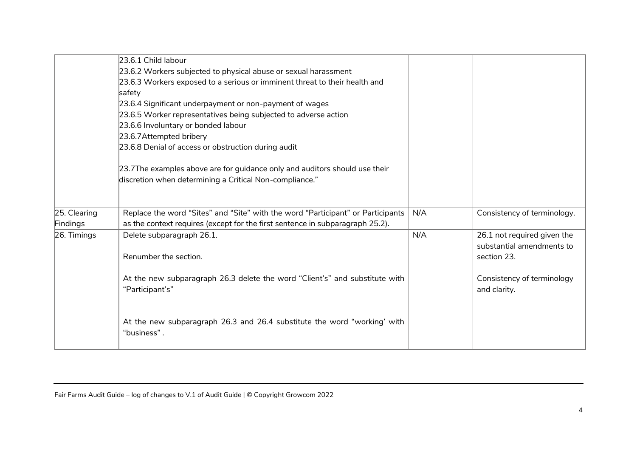|              | 23.6.1 Child labour                                                             |     |                             |
|--------------|---------------------------------------------------------------------------------|-----|-----------------------------|
|              | 23.6.2 Workers subjected to physical abuse or sexual harassment                 |     |                             |
|              | 23.6.3 Workers exposed to a serious or imminent threat to their health and      |     |                             |
|              | safety                                                                          |     |                             |
|              | 23.6.4 Significant underpayment or non-payment of wages                         |     |                             |
|              | 23.6.5 Worker representatives being subjected to adverse action                 |     |                             |
|              | 23.6.6 Involuntary or bonded labour                                             |     |                             |
|              | 23.6.7Attempted bribery                                                         |     |                             |
|              | 23.6.8 Denial of access or obstruction during audit                             |     |                             |
|              | 23.7The examples above are for guidance only and auditors should use their      |     |                             |
|              | discretion when determining a Critical Non-compliance."                         |     |                             |
|              |                                                                                 |     |                             |
| 25. Clearing | Replace the word "Sites" and "Site" with the word "Participant" or Participants | N/A | Consistency of terminology. |
| Findings     | as the context requires (except for the first sentence in subparagraph 25.2).   |     |                             |
| 26. Timings  | Delete subparagraph 26.1.                                                       | N/A | 26.1 not required given the |
|              |                                                                                 |     | substantial amendments to   |
|              | Renumber the section.                                                           |     | section 23.                 |
|              |                                                                                 |     |                             |
|              | At the new subparagraph 26.3 delete the word "Client's" and substitute with     |     | Consistency of terminology  |
|              | "Participant's"                                                                 |     | and clarity.                |
|              |                                                                                 |     |                             |
|              |                                                                                 |     |                             |
|              | At the new subparagraph 26.3 and 26.4 substitute the word "working' with        |     |                             |
|              | "business".                                                                     |     |                             |
|              |                                                                                 |     |                             |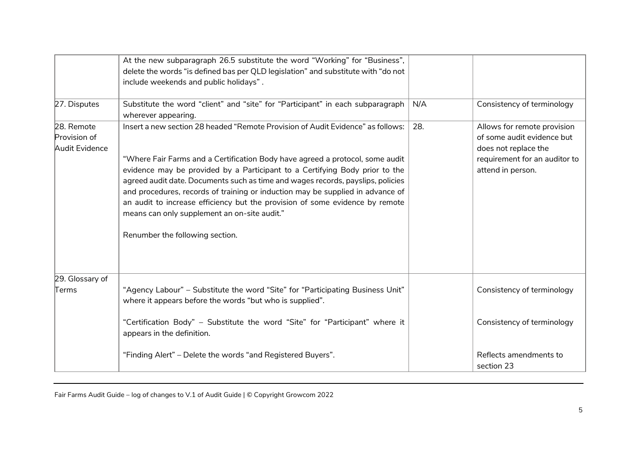|                                              | At the new subparagraph 26.5 substitute the word "Working" for "Business",<br>delete the words "is defined bas per QLD legislation" and substitute with "do not<br>include weekends and public holidays".                                                                                                                                                                                                            |     |                                                                                                                                         |
|----------------------------------------------|----------------------------------------------------------------------------------------------------------------------------------------------------------------------------------------------------------------------------------------------------------------------------------------------------------------------------------------------------------------------------------------------------------------------|-----|-----------------------------------------------------------------------------------------------------------------------------------------|
| 27. Disputes                                 | Substitute the word "client" and "site" for "Participant" in each subparagraph<br>wherever appearing.                                                                                                                                                                                                                                                                                                                | N/A | Consistency of terminology                                                                                                              |
| 28. Remote<br>Provision of<br>Audit Evidence | Insert a new section 28 headed "Remote Provision of Audit Evidence" as follows:<br>"Where Fair Farms and a Certification Body have agreed a protocol, some audit<br>evidence may be provided by a Participant to a Certifying Body prior to the<br>agreed audit date. Documents such as time and wages records, payslips, policies<br>and procedures, records of training or induction may be supplied in advance of | 28. | Allows for remote provision<br>of some audit evidence but<br>does not replace the<br>requirement for an auditor to<br>attend in person. |
|                                              | an audit to increase efficiency but the provision of some evidence by remote<br>means can only supplement an on-site audit."<br>Renumber the following section.                                                                                                                                                                                                                                                      |     |                                                                                                                                         |
| 29. Glossary of<br>Terms                     | "Agency Labour" - Substitute the word "Site" for "Participating Business Unit"                                                                                                                                                                                                                                                                                                                                       |     | Consistency of terminology                                                                                                              |
|                                              | where it appears before the words "but who is supplied".<br>"Certification Body" - Substitute the word "Site" for "Participant" where it<br>appears in the definition.<br>"Finding Alert" - Delete the words "and Registered Buyers".                                                                                                                                                                                |     | Consistency of terminology<br>Reflects amendments to                                                                                    |
|                                              |                                                                                                                                                                                                                                                                                                                                                                                                                      |     | section 23                                                                                                                              |